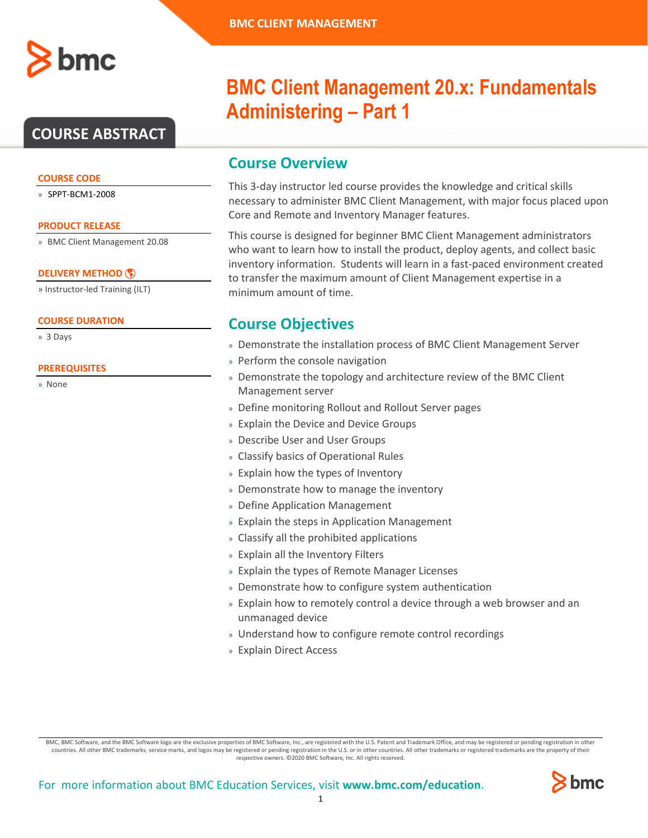

## **COURSE ABSTRACT**

### **COURSE CODE**

» SPPT-BCM1-2008

### **PRODUCT RELEASE**

» BMC Client Management 20.08

### **[DELIVERY METHOD](http://www.bmc.com/education/modality.html)**

» Instructor-led Training (ILT)

### **COURSE DURATION**

» 3 Days

### **PREREQUISITES**

» None

# **BMC Client Management 20.x: Fundamentals Administering – Part 1**

### **Course Overview**

This 3-day instructor led course provides the knowledge and critical skills necessary to administer BMC Client Management, with major focus placed upon Core and Remote and Inventory Manager features.

This course is designed for beginner BMC Client Management administrators who want to learn how to install the product, deploy agents, and collect basic inventory information. Students will learn in a fast-paced environment created to transfer the maximum amount of Client Management expertise in a minimum amount of time.

### **Course Objectives**

- » Demonstrate the installation process of BMC Client Management Server
- » Perform the console navigation
- » Demonstrate the topology and architecture review of the BMC Client Management server
- » Define monitoring Rollout and Rollout Server pages
- » Explain the Device and Device Groups
- » Describe User and User Groups
- » Classify basics of Operational Rules
- » Explain how the types of Inventory
- » Demonstrate how to manage the inventory
- » Define Application Management
- » Explain the steps in Application Management
- » Classify all the prohibited applications
- » Explain all the Inventory Filters
- » Explain the types of Remote Manager Licenses
- » Demonstrate how to configure system authentication
- » Explain how to remotely control a device through a web browser and an unmanaged device
- » Understand how to configure remote control recordings
- » Explain Direct Access

BMC, BMC Software, and the BMC Software logo are the exclusive properties of BMC Software, Inc., are registered with the U.S. Patent and Trademark Office, and may be registered or pending registration in other countries. All other BMC trademarks, service marks, and logos may be registered or pending registration in the U.S. or in other countries. All other trademarks or registered trademarks are the property of their respective owners. ©2020 BMC Software, Inc. All rights reserved.